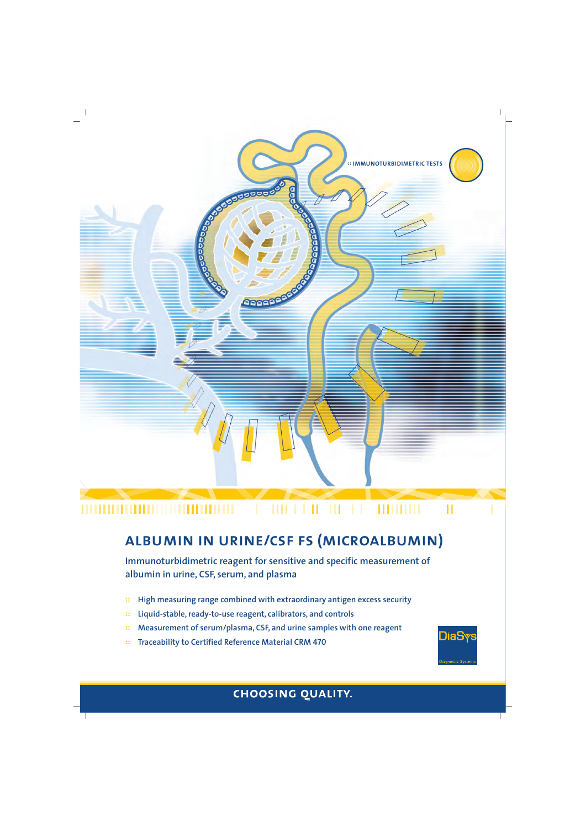

## **albumin in urine/csf fs (microalbumin)**

**Immunoturbidimetric reagent for sensitive and specific measurement of albumin in urine, CSF, serum, and plasma**

- **:: High measuring range combined with extraordinary antigen excess security**
- **:: Liquid-stable, ready-to-use reagent, calibrators, and controls**
- **:: Measurement of serum/plasma, CSF, and urine samples with one reagent**
- **:: Traceability to Certified Reference Material CRM 470**



Dia: